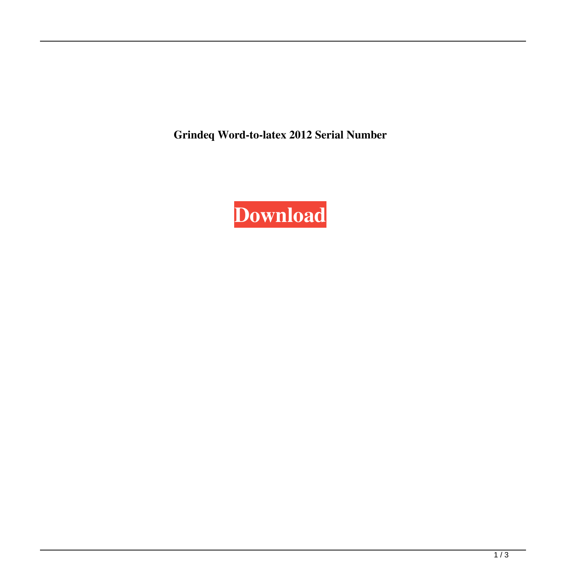**Grindeq Word-to-latex 2012 Serial Number**

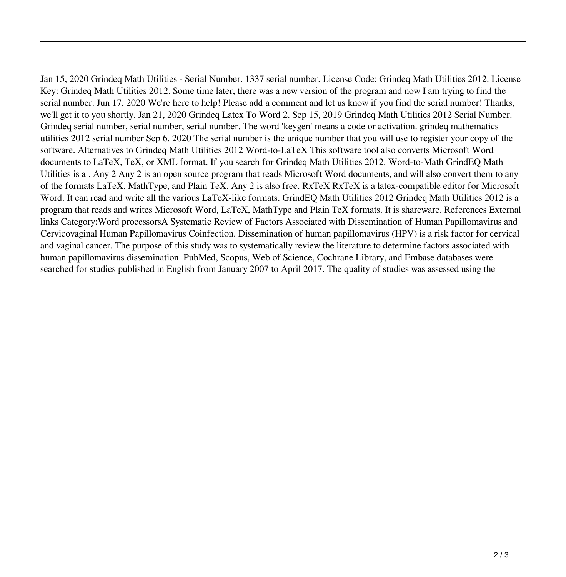Jan 15, 2020 Grindeq Math Utilities - Serial Number. 1337 serial number. License Code: Grindeq Math Utilities 2012. License Key: Grindeq Math Utilities 2012. Some time later, there was a new version of the program and now I am trying to find the serial number. Jun 17, 2020 We're here to help! Please add a comment and let us know if you find the serial number! Thanks, we'll get it to you shortly. Jan 21, 2020 Grindeq Latex To Word 2. Sep 15, 2019 Grindeq Math Utilities 2012 Serial Number. Grindeq serial number, serial number, serial number. The word 'keygen' means a code or activation. grindeq mathematics utilities 2012 serial number Sep 6, 2020 The serial number is the unique number that you will use to register your copy of the software. Alternatives to Grindeq Math Utilities 2012 Word-to-LaTeX This software tool also converts Microsoft Word documents to LaTeX, TeX, or XML format. If you search for Grindeq Math Utilities 2012. Word-to-Math GrindEQ Math Utilities is a . Any 2 Any 2 is an open source program that reads Microsoft Word documents, and will also convert them to any of the formats LaTeX, MathType, and Plain TeX. Any 2 is also free. RxTeX RxTeX is a latex-compatible editor for Microsoft Word. It can read and write all the various LaTeX-like formats. GrindEQ Math Utilities 2012 Grindeq Math Utilities 2012 is a program that reads and writes Microsoft Word, LaTeX, MathType and Plain TeX formats. It is shareware. References External links Category:Word processorsA Systematic Review of Factors Associated with Dissemination of Human Papillomavirus and Cervicovaginal Human Papillomavirus Coinfection. Dissemination of human papillomavirus (HPV) is a risk factor for cervical and vaginal cancer. The purpose of this study was to systematically review the literature to determine factors associated with human papillomavirus dissemination. PubMed, Scopus, Web of Science, Cochrane Library, and Embase databases were searched for studies published in English from January 2007 to April 2017. The quality of studies was assessed using the